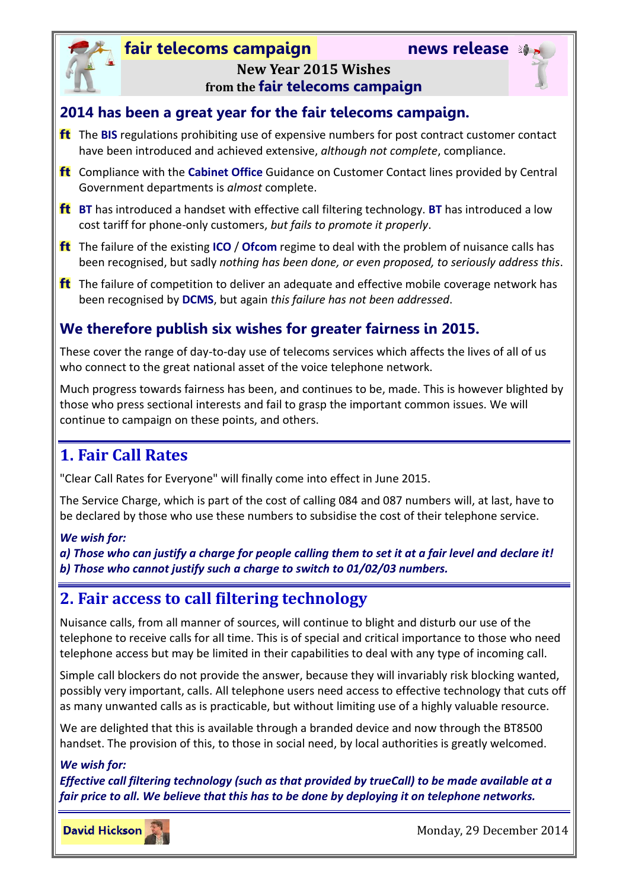## **fair telecoms campaign news release**



### **New Year 2015 Wishes from the fair telecoms campaign**

### **2014 has been a great year for the fair telecoms campaign.**

- The **BIS** regulations prohibiting use of expensive numbers for post contract customer contact have been introduced and achieved extensive, *although not complete*, compliance.
- Compliance with the **Cabinet Office** Guidance on Customer Contact lines provided by Central Government departments is *almost* complete.
- **BT** has introduced a handset with effective call filtering technology. **BT** has introduced a low cost tariff for phone-only customers, *but fails to promote it properly*.
- The failure of the existing **ICO** / **Ofcom** regime to deal with the problem of nuisance calls has been recognised, but sadly *nothing has been done, or even proposed, to seriously address this*.
- **ft** The failure of competition to deliver an adequate and effective mobile coverage network has been recognised by **DCMS**, but again *this failure has not been addressed*.

### **We therefore publish six wishes for greater fairness in 2015.**

These cover the range of day-to-day use of telecoms services which affects the lives of all of us who connect to the great national asset of the voice telephone network.

Much progress towards fairness has been, and continues to be, made. This is however blighted by those who press sectional interests and fail to grasp the important common issues. We will continue to campaign on these points, and others.

## **1. Fair Call Rates**

"Clear Call Rates for Everyone" will finally come into effect in June 2015.

The Service Charge, which is part of the cost of calling 084 and 087 numbers will, at last, have to be declared by those who use these numbers to subsidise the cost of their telephone service.

### *We wish for:*

*a) Those who can justify a charge for people calling them to set it at a fair level and declare it! b) Those who cannot justify such a charge to switch to 01/02/03 numbers.*

## **2. Fair access to call filtering technology**

Nuisance calls, from all manner of sources, will continue to blight and disturb our use of the telephone to receive calls for all time. This is of special and critical importance to those who need telephone access but may be limited in their capabilities to deal with any type of incoming call.

Simple call blockers do not provide the answer, because they will invariably risk blocking wanted, possibly very important, calls. All telephone users need access to effective technology that cuts off as many unwanted calls as is practicable, but without limiting use of a highly valuable resource.

We are delighted that this is available through a branded device and now through the BT8500 handset. The provision of this, to those in social need, by local authorities is greatly welcomed.

### *We wish for:*

*Effective call filtering technology (such as that provided by trueCall) to be made available at a fair price to all. We believe that this has to be done by deploying it on telephone networks.*

**David Hickson** 

Monday, 29 December 2014